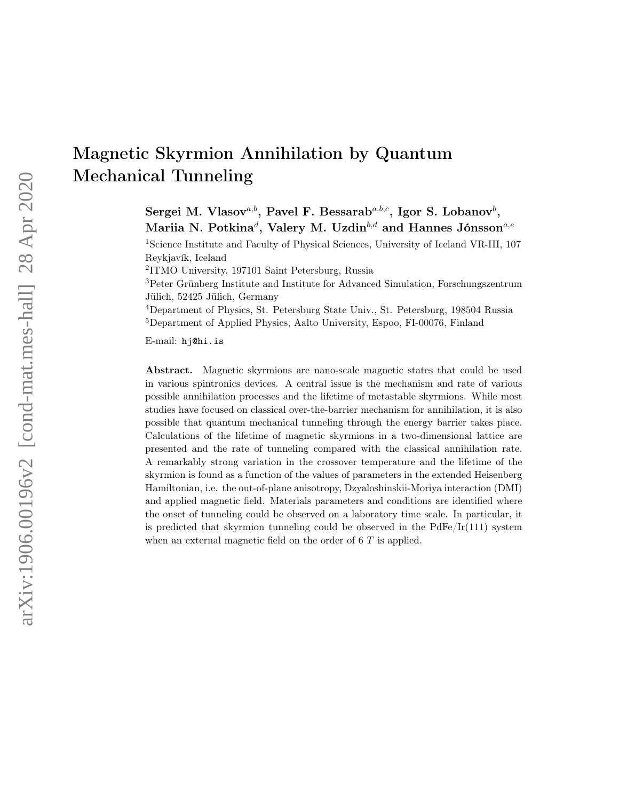# Magnetic Skyrmion Annihilation by Quantum Mechanical Tunneling

Sergei M. Vlasov $^{a,b},$  Pavel F. Bessarab $^{a,b,c},$  Igor S. Lobanov $^b,$ Mariia N. Potkina ${}^d,$  Valery M. Uzdin ${}^{b,d}$  and Hannes Jónsson ${}^{a,e}$ 

<sup>1</sup>Science Institute and Faculty of Physical Sciences, University of Iceland VR-III, 107 Reykjavík, Iceland

2 ITMO University, 197101 Saint Petersburg, Russia

<sup>3</sup>Peter Grünberg Institute and Institute for Advanced Simulation, Forschungszentrum Jülich, 52425 Jülich, Germany

<sup>4</sup>Department of Physics, St. Petersburg State Univ., St. Petersburg, 198504 Russia <sup>5</sup>Department of Applied Physics, Aalto University, Espoo, FI-00076, Finland

E-mail: hj@hi.is

Abstract. Magnetic skyrmions are nano-scale magnetic states that could be used in various spintronics devices. A central issue is the mechanism and rate of various possible annihilation processes and the lifetime of metastable skyrmions. While most studies have focused on classical over-the-barrier mechanism for annihilation, it is also possible that quantum mechanical tunneling through the energy barrier takes place. Calculations of the lifetime of magnetic skyrmions in a two-dimensional lattice are presented and the rate of tunneling compared with the classical annihilation rate. A remarkably strong variation in the crossover temperature and the lifetime of the skyrmion is found as a function of the values of parameters in the extended Heisenberg Hamiltonian, i.e. the out-of-plane anisotropy, Dzyaloshinskii-Moriya interaction (DMI) and applied magnetic field. Materials parameters and conditions are identified where the onset of tunneling could be observed on a laboratory time scale. In particular, it is predicted that skyrmion tunneling could be observed in the  $PdFe/Ir(111)$  system when an external magnetic field on the order of 6 T is applied.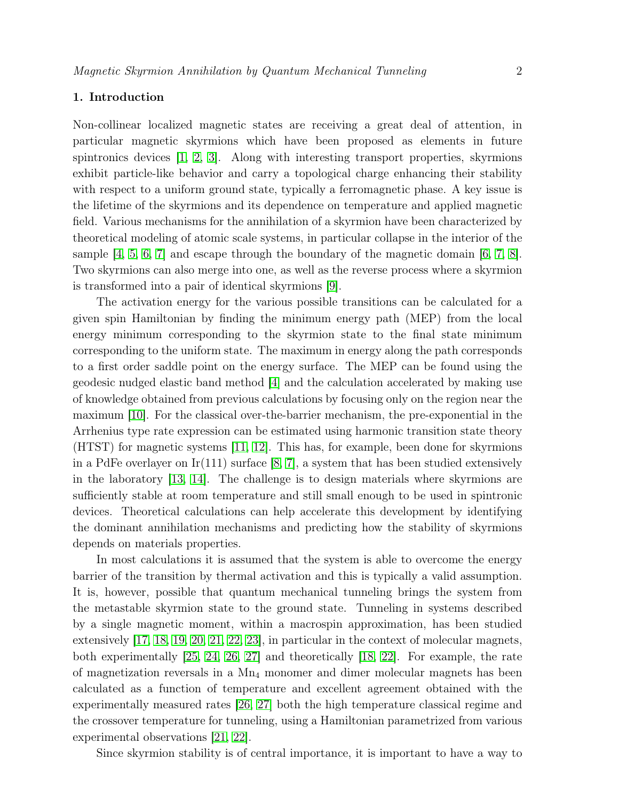# 1. Introduction

Non-collinear localized magnetic states are receiving a great deal of attention, in particular magnetic skyrmions which have been proposed as elements in future spintronics devices [\[1,](#page-11-0) [2,](#page-11-1) [3\]](#page-11-2). Along with interesting transport properties, skyrmions exhibit particle-like behavior and carry a topological charge enhancing their stability with respect to a uniform ground state, typically a ferromagnetic phase. A key issue is the lifetime of the skyrmions and its dependence on temperature and applied magnetic field. Various mechanisms for the annihilation of a skyrmion have been characterized by theoretical modeling of atomic scale systems, in particular collapse in the interior of the sample [\[4,](#page-11-3) [5,](#page-11-4) [6,](#page-11-5) [7\]](#page-11-6) and escape through the boundary of the magnetic domain [\[6,](#page-11-5) [7,](#page-11-6) [8\]](#page-11-7). Two skyrmions can also merge into one, as well as the reverse process where a skyrmion is transformed into a pair of identical skyrmions [\[9\]](#page-11-8).

The activation energy for the various possible transitions can be calculated for a given spin Hamiltonian by finding the minimum energy path (MEP) from the local energy minimum corresponding to the skyrmion state to the final state minimum corresponding to the uniform state. The maximum in energy along the path corresponds to a first order saddle point on the energy surface. The MEP can be found using the geodesic nudged elastic band method [\[4\]](#page-11-3) and the calculation accelerated by making use of knowledge obtained from previous calculations by focusing only on the region near the maximum [\[10\]](#page-11-9). For the classical over-the-barrier mechanism, the pre-exponential in the Arrhenius type rate expression can be estimated using harmonic transition state theory (HTST) for magnetic systems [\[11,](#page-11-10) [12\]](#page-11-11). This has, for example, been done for skyrmions in a PdFe overlayer on Ir(111) surface [\[8,](#page-11-7) [7\]](#page-11-6), a system that has been studied extensively in the laboratory [\[13,](#page-11-12) [14\]](#page-11-13). The challenge is to design materials where skyrmions are sufficiently stable at room temperature and still small enough to be used in spintronic devices. Theoretical calculations can help accelerate this development by identifying the dominant annihilation mechanisms and predicting how the stability of skyrmions depends on materials properties.

In most calculations it is assumed that the system is able to overcome the energy barrier of the transition by thermal activation and this is typically a valid assumption. It is, however, possible that quantum mechanical tunneling brings the system from the metastable skyrmion state to the ground state. Tunneling in systems described by a single magnetic moment, within a macrospin approximation, has been studied extensively [\[17,](#page-11-14) [18,](#page-11-15) [19,](#page-11-16) [20,](#page-11-17) [21,](#page-11-18) [22,](#page-11-19) [23\]](#page-11-20), in particular in the context of molecular magnets, both experimentally [\[25,](#page-12-0) [24,](#page-12-1) [26,](#page-12-2) [27\]](#page-12-3) and theoretically [\[18,](#page-11-15) [22\]](#page-11-19). For example, the rate of magnetization reversals in a  $Mn_4$  monomer and dimer molecular magnets has been calculated as a function of temperature and excellent agreement obtained with the experimentally measured rates [\[26,](#page-12-2) [27\]](#page-12-3) both the high temperature classical regime and the crossover temperature for tunneling, using a Hamiltonian parametrized from various experimental observations [\[21,](#page-11-18) [22\]](#page-11-19).

Since skyrmion stability is of central importance, it is important to have a way to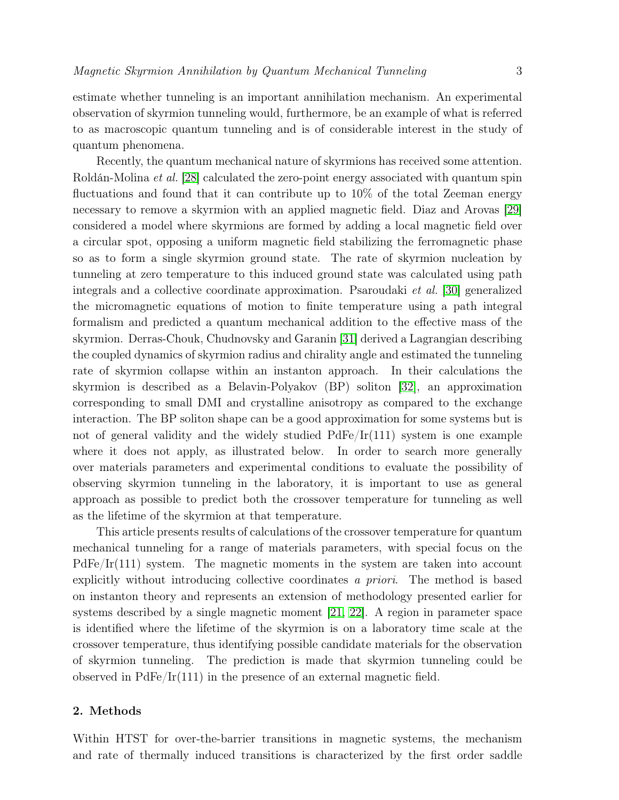estimate whether tunneling is an important annihilation mechanism. An experimental observation of skyrmion tunneling would, furthermore, be an example of what is referred to as macroscopic quantum tunneling and is of considerable interest in the study of quantum phenomena.

Recently, the quantum mechanical nature of skyrmions has received some attention. Roldán-Molina *et al.* [\[28\]](#page-12-4) calculated the zero-point energy associated with quantum spin fluctuations and found that it can contribute up to 10% of the total Zeeman energy necessary to remove a skyrmion with an applied magnetic field. Diaz and Arovas [\[29\]](#page-12-5) considered a model where skyrmions are formed by adding a local magnetic field over a circular spot, opposing a uniform magnetic field stabilizing the ferromagnetic phase so as to form a single skyrmion ground state. The rate of skyrmion nucleation by tunneling at zero temperature to this induced ground state was calculated using path integrals and a collective coordinate approximation. Psaroudaki et al. [\[30\]](#page-12-6) generalized the micromagnetic equations of motion to finite temperature using a path integral formalism and predicted a quantum mechanical addition to the effective mass of the skyrmion. Derras-Chouk, Chudnovsky and Garanin [\[31\]](#page-12-7) derived a Lagrangian describing the coupled dynamics of skyrmion radius and chirality angle and estimated the tunneling rate of skyrmion collapse within an instanton approach. In their calculations the skyrmion is described as a Belavin-Polyakov (BP) soliton [\[32\]](#page-12-8), an approximation corresponding to small DMI and crystalline anisotropy as compared to the exchange interaction. The BP soliton shape can be a good approximation for some systems but is not of general validity and the widely studied  $PdFe/Ir(111)$  system is one example where it does not apply, as illustrated below. In order to search more generally over materials parameters and experimental conditions to evaluate the possibility of observing skyrmion tunneling in the laboratory, it is important to use as general approach as possible to predict both the crossover temperature for tunneling as well as the lifetime of the skyrmion at that temperature.

This article presents results of calculations of the crossover temperature for quantum mechanical tunneling for a range of materials parameters, with special focus on the  $PdFe/Ir(111)$  system. The magnetic moments in the system are taken into account explicitly without introducing collective coordinates a priori. The method is based on instanton theory and represents an extension of methodology presented earlier for systems described by a single magnetic moment [\[21,](#page-11-18) [22\]](#page-11-19). A region in parameter space is identified where the lifetime of the skyrmion is on a laboratory time scale at the crossover temperature, thus identifying possible candidate materials for the observation of skyrmion tunneling. The prediction is made that skyrmion tunneling could be observed in  $PdFe/Ir(111)$  in the presence of an external magnetic field.

## 2. Methods

Within HTST for over-the-barrier transitions in magnetic systems, the mechanism and rate of thermally induced transitions is characterized by the first order saddle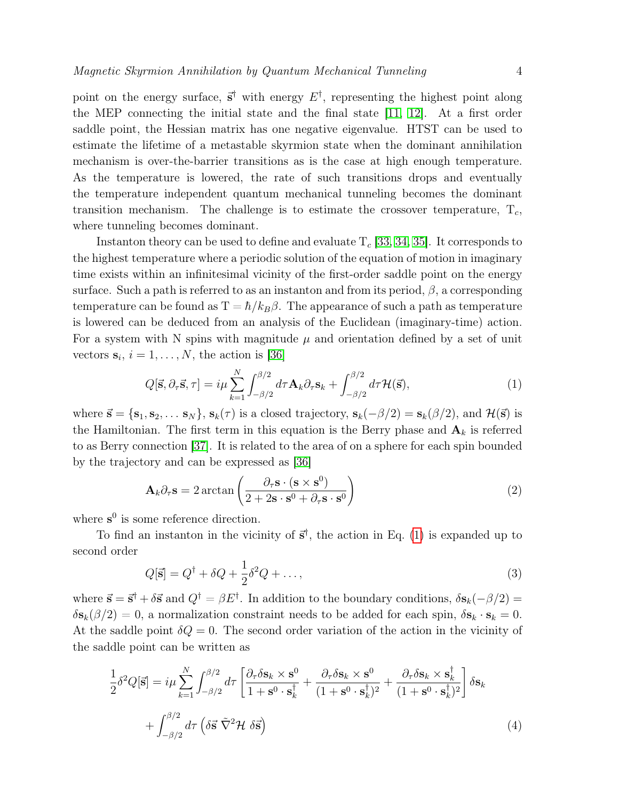point on the energy surface,  $\vec{s}^{\dagger}$  with energy  $E^{\dagger}$ , representing the highest point along the MEP connecting the initial state and the final state [\[11,](#page-11-10) [12\]](#page-11-11). At a first order saddle point, the Hessian matrix has one negative eigenvalue. HTST can be used to estimate the lifetime of a metastable skyrmion state when the dominant annihilation mechanism is over-the-barrier transitions as is the case at high enough temperature. As the temperature is lowered, the rate of such transitions drops and eventually the temperature independent quantum mechanical tunneling becomes the dominant transition mechanism. The challenge is to estimate the crossover temperature,  $T_c$ , where tunneling becomes dominant.

Instanton theory can be used to define and evaluate  $T_c$  [\[33,](#page-12-9) [34,](#page-12-10) [35\]](#page-12-11). It corresponds to the highest temperature where a periodic solution of the equation of motion in imaginary time exists within an infinitesimal vicinity of the first-order saddle point on the energy surface. Such a path is referred to as an instanton and from its period,  $\beta$ , a corresponding temperature can be found as  $T = \hbar / k_B \beta$ . The appearance of such a path as temperature is lowered can be deduced from an analysis of the Euclidean (imaginary-time) action. For a system with N spins with magnitude  $\mu$  and orientation defined by a set of unit vectors  $\mathbf{s}_i$ ,  $i = 1, \ldots, N$ , the action is [\[36\]](#page-12-12)

<span id="page-3-0"></span>
$$
Q[\vec{\mathbf{s}}, \partial_\tau \vec{\mathbf{s}}, \tau] = i\mu \sum_{k=1}^N \int_{-\beta/2}^{\beta/2} d\tau \mathbf{A}_k \partial_\tau \mathbf{s}_k + \int_{-\beta/2}^{\beta/2} d\tau \mathcal{H}(\vec{\mathbf{s}}), \tag{1}
$$

where  $\vec{s} = {\mathbf{s}_1, \mathbf{s}_2, \ldots \mathbf{s}_N}$ ,  $\mathbf{s}_k(\tau)$  is a closed trajectory,  $\mathbf{s}_k(-\beta/2) = \mathbf{s}_k(\beta/2)$ , and  $\mathcal{H}(\vec{s})$  is the Hamiltonian. The first term in this equation is the Berry phase and  $A_k$  is referred to as Berry connection [\[37\]](#page-12-13). It is related to the area of on a sphere for each spin bounded by the trajectory and can be expressed as [\[36\]](#page-12-12)

$$
\mathbf{A}_{k}\partial_{\tau}\mathbf{s} = 2\arctan\left(\frac{\partial_{\tau}\mathbf{s} \cdot (\mathbf{s} \times \mathbf{s}^{0})}{2 + 2\mathbf{s} \cdot \mathbf{s}^{0} + \partial_{\tau}\mathbf{s} \cdot \mathbf{s}^{0}}\right)
$$
(2)

where  $s^0$  is some reference direction.

To find an instanton in the vicinity of  $\vec{s}^{\dagger}$ , the action in Eq. [\(1\)](#page-3-0) is expanded up to second order

$$
Q[\vec{\mathbf{s}}] = Q^{\dagger} + \delta Q + \frac{1}{2}\delta^2 Q + \dots,\tag{3}
$$

where  $\vec{s} = \vec{s}^{\dagger} + \delta \vec{s}$  and  $Q^{\dagger} = \beta E^{\dagger}$ . In addition to the boundary conditions,  $\delta s_k(-\beta/2) =$  $\delta \mathbf{s}_k(\beta/2) = 0$ , a normalization constraint needs to be added for each spin,  $\delta \mathbf{s}_k \cdot \mathbf{s}_k = 0$ . At the saddle point  $\delta Q = 0$ . The second order variation of the action in the vicinity of the saddle point can be written as

$$
\frac{1}{2}\delta^2 Q[\vec{\mathbf{s}}] = i\mu \sum_{k=1}^N \int_{-\beta/2}^{\beta/2} d\tau \left[ \frac{\partial_\tau \delta \mathbf{s}_k \times \mathbf{s}^0}{1 + \mathbf{s}^0 \cdot \mathbf{s}_k^\dagger} + \frac{\partial_\tau \delta \mathbf{s}_k \times \mathbf{s}^0}{(1 + \mathbf{s}^0 \cdot \mathbf{s}_k^\dagger)^2} + \frac{\partial_\tau \delta \mathbf{s}_k \times \mathbf{s}_k^\dagger}{(1 + \mathbf{s}^0 \cdot \mathbf{s}_k^\dagger)^2} \right] \delta \mathbf{s}_k
$$
  
+ 
$$
\int_{-\beta/2}^{\beta/2} d\tau \left( \delta \vec{\mathbf{s}} \tilde{\nabla}^2 \mathcal{H} \delta \vec{\mathbf{s}} \right)
$$
(4)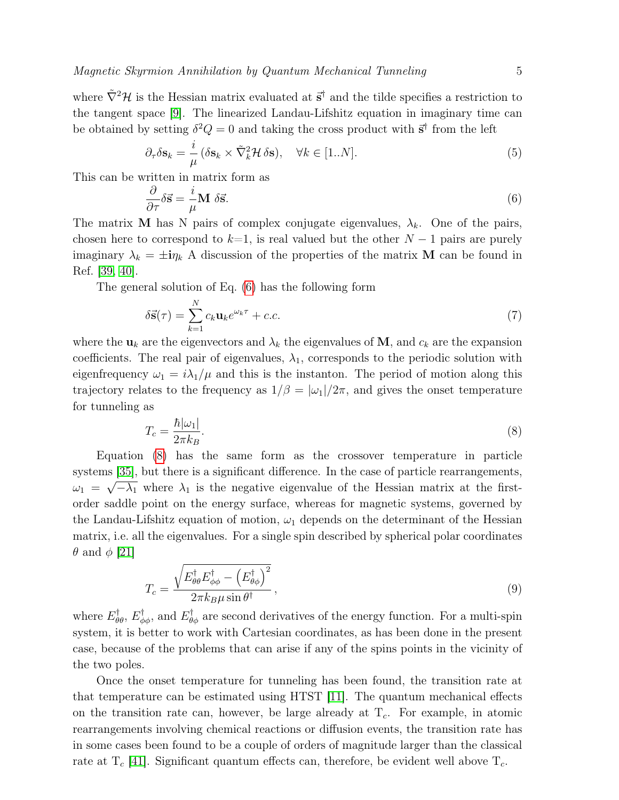Magnetic Skyrmion Annihilation by Quantum Mechanical Tunneling 5

where  $\tilde{\nabla}^2 \mathcal{H}$  is the Hessian matrix evaluated at  $\vec{s}^{\dagger}$  and the tilde specifies a restriction to the tangent space [\[9\]](#page-11-8). The linearized Landau-Lifshitz equation in imaginary time can be obtained by setting  $\delta^2 Q = 0$  and taking the cross product with  $\vec{s}$ <sup>†</sup> from the left

$$
\partial_{\tau} \delta \mathbf{s}_k = \frac{i}{\mu} \left( \delta \mathbf{s}_k \times \tilde{\nabla}_k^2 \mathcal{H} \, \delta \mathbf{s} \right), \quad \forall k \in [1..N]. \tag{5}
$$

This can be written in matrix form as

<span id="page-4-0"></span>
$$
\frac{\partial}{\partial \tau} \delta \vec{\mathbf{s}} = \frac{i}{\mu} \mathbf{M} \ \delta \vec{\mathbf{s}}.\tag{6}
$$

The matrix **M** has N pairs of complex conjugate eigenvalues,  $\lambda_k$ . One of the pairs, chosen here to correspond to  $k=1$ , is real valued but the other  $N-1$  pairs are purely imaginary  $\lambda_k = \pm i\eta_k$  A discussion of the properties of the matrix **M** can be found in Ref. [\[39,](#page-12-14) [40\]](#page-12-15).

The general solution of Eq. [\(6\)](#page-4-0) has the following form

$$
\delta \vec{\mathbf{s}}(\tau) = \sum_{k=1}^{N} c_k \mathbf{u}_k e^{\omega_k \tau} + c.c.
$$
 (7)

where the  $u_k$  are the eigenvectors and  $\lambda_k$  the eigenvalues of M, and  $c_k$  are the expansion coefficients. The real pair of eigenvalues,  $\lambda_1$ , corresponds to the periodic solution with eigenfrequency  $\omega_1 = i\lambda_1/\mu$  and this is the instanton. The period of motion along this trajectory relates to the frequency as  $1/\beta = |\omega_1|/2\pi$ , and gives the onset temperature for tunneling as

<span id="page-4-1"></span>
$$
T_c = \frac{\hbar |\omega_1|}{2\pi k_B}.\tag{8}
$$

Equation [\(8\)](#page-4-1) has the same form as the crossover temperature in particle systems  $[35]$ , but there is a significant difference. In the case of particle rearrangements,  $\omega_1 = \sqrt{-\lambda_1}$  where  $\lambda_1$  is the negative eigenvalue of the Hessian matrix at the firstorder saddle point on the energy surface, whereas for magnetic systems, governed by the Landau-Lifshitz equation of motion,  $\omega_1$  depends on the determinant of the Hessian matrix, i.e. all the eigenvalues. For a single spin described by spherical polar coordinates  $\theta$  and  $\phi$  [\[21\]](#page-11-18)

$$
T_c = \frac{\sqrt{E_{\theta\theta}^{\dagger} E_{\phi\phi}^{\dagger} - \left(E_{\theta\phi}^{\dagger}\right)^2}}{2\pi k_B \mu \sin \theta^{\dagger}},
$$
\n
$$
\tag{9}
$$

where  $E_{\theta\theta}^{\dagger}, E_{\phi\phi}^{\dagger}$ , and  $E_{\theta\phi}^{\dagger}$  are second derivatives of the energy function. For a multi-spin system, it is better to work with Cartesian coordinates, as has been done in the present case, because of the problems that can arise if any of the spins points in the vicinity of the two poles.

Once the onset temperature for tunneling has been found, the transition rate at that temperature can be estimated using HTST [\[11\]](#page-11-10). The quantum mechanical effects on the transition rate can, however, be large already at  $T_c$ . For example, in atomic rearrangements involving chemical reactions or diffusion events, the transition rate has in some cases been found to be a couple of orders of magnitude larger than the classical rate at  $T_c$  [\[41\]](#page-12-16). Significant quantum effects can, therefore, be evident well above  $T_c$ .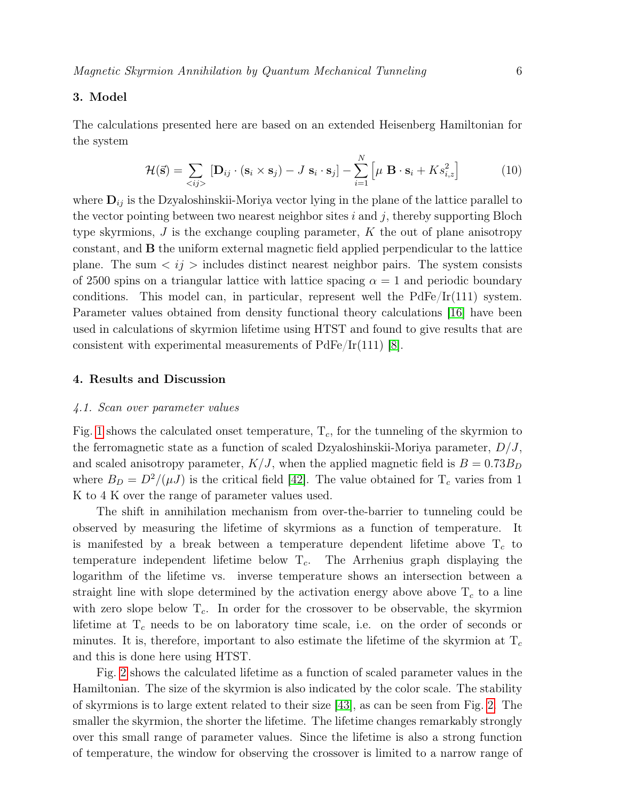# 3. Model

The calculations presented here are based on an extended Heisenberg Hamiltonian for the system

$$
\mathcal{H}(\vec{\mathbf{s}}) = \sum_{\langle ij \rangle} [\mathbf{D}_{ij} \cdot (\mathbf{s}_i \times \mathbf{s}_j) - J \mathbf{s}_i \cdot \mathbf{s}_j] - \sum_{i=1}^N \left[ \mu \mathbf{B} \cdot \mathbf{s}_i + K s_{i,z}^2 \right]
$$
(10)

where  $D_{ij}$  is the Dzyaloshinskii-Moriya vector lying in the plane of the lattice parallel to the vector pointing between two nearest neighbor sites  $i$  and  $j$ , thereby supporting Bloch type skyrmions,  $J$  is the exchange coupling parameter,  $K$  the out of plane anisotropy constant, and B the uniform external magnetic field applied perpendicular to the lattice plane. The sum  $\langle i j \rangle$  includes distinct nearest neighbor pairs. The system consists of 2500 spins on a triangular lattice with lattice spacing  $\alpha = 1$  and periodic boundary conditions. This model can, in particular, represent well the  $PdFe/Ir(111)$  system. Parameter values obtained from density functional theory calculations [\[16\]](#page-11-21) have been used in calculations of skyrmion lifetime using HTST and found to give results that are consistent with experimental measurements of  $PdFe/Ir(111)$  [\[8\]](#page-11-7).

#### 4. Results and Discussion

#### 4.1. Scan over parameter values

Fig. [1](#page-6-0) shows the calculated onset temperature,  $T_c$ , for the tunneling of the skyrmion to the ferromagnetic state as a function of scaled Dzyaloshinskii-Moriya parameter,  $D/J$ , and scaled anisotropy parameter,  $K/J$ , when the applied magnetic field is  $B = 0.73B<sub>D</sub>$ where  $B_D = D^2/(\mu J)$  is the critical field [\[42\]](#page-12-17). The value obtained for T<sub>c</sub> varies from 1 K to 4 K over the range of parameter values used.

The shift in annihilation mechanism from over-the-barrier to tunneling could be observed by measuring the lifetime of skyrmions as a function of temperature. It is manifested by a break between a temperature dependent lifetime above  $T_c$  to temperature independent lifetime below  $T_c$ . The Arrhenius graph displaying the logarithm of the lifetime vs. inverse temperature shows an intersection between a straight line with slope determined by the activation energy above above  $T_c$  to a line with zero slope below  $T_c$ . In order for the crossover to be observable, the skyrmion lifetime at  $T_c$  needs to be on laboratory time scale, i.e. on the order of seconds or minutes. It is, therefore, important to also estimate the lifetime of the skyrmion at  $T_c$ and this is done here using HTST.

Fig. [2](#page-7-0) shows the calculated lifetime as a function of scaled parameter values in the Hamiltonian. The size of the skyrmion is also indicated by the color scale. The stability of skyrmions is to large extent related to their size [\[43\]](#page-12-18), as can be seen from Fig. [2.](#page-7-0) The smaller the skyrmion, the shorter the lifetime. The lifetime changes remarkably strongly over this small range of parameter values. Since the lifetime is also a strong function of temperature, the window for observing the crossover is limited to a narrow range of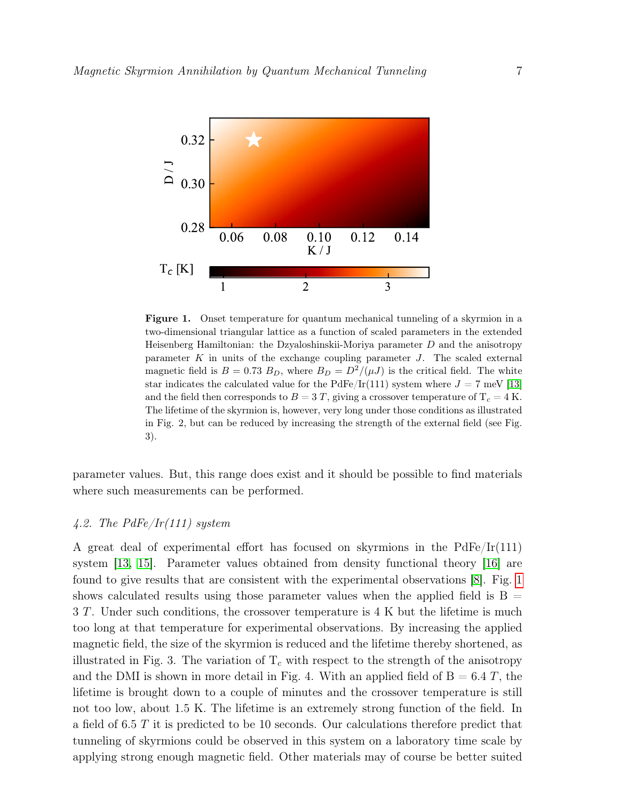

<span id="page-6-0"></span>Figure 1. Onset temperature for quantum mechanical tunneling of a skyrmion in a two-dimensional triangular lattice as a function of scaled parameters in the extended Heisenberg Hamiltonian: the Dzyaloshinskii-Moriya parameter D and the anisotropy parameter  $K$  in units of the exchange coupling parameter  $J$ . The scaled external magnetic field is  $B = 0.73 B_D$ , where  $B_D = D^2/(\mu J)$  is the critical field. The white star indicates the calculated value for the PdFe/Ir(111) system where  $J = 7$  meV [\[13\]](#page-11-12) and the field then corresponds to  $B = 3 T$ , giving a crossover temperature of  $T_c = 4 K$ . The lifetime of the skyrmion is, however, very long under those conditions as illustrated in Fig. 2, but can be reduced by increasing the strength of the external field (see Fig. 3).

parameter values. But, this range does exist and it should be possible to find materials where such measurements can be performed.

## 4.2. The PdFe/Ir(111) system

A great deal of experimental effort has focused on skyrmions in the  $PdFe/Ir(111)$ system [\[13,](#page-11-12) [15\]](#page-11-22). Parameter values obtained from density functional theory [\[16\]](#page-11-21) are found to give results that are consistent with the experimental observations [\[8\]](#page-11-7). Fig. [1](#page-6-0) shows calculated results using those parameter values when the applied field is  $B =$ 3 T. Under such conditions, the crossover temperature is 4 K but the lifetime is much too long at that temperature for experimental observations. By increasing the applied magnetic field, the size of the skyrmion is reduced and the lifetime thereby shortened, as illustrated in Fig. 3. The variation of  $T_c$  with respect to the strength of the anisotropy and the DMI is shown in more detail in Fig. 4. With an applied field of  $B = 6.4 T$ , the lifetime is brought down to a couple of minutes and the crossover temperature is still not too low, about 1.5 K. The lifetime is an extremely strong function of the field. In a field of 6.5 T it is predicted to be 10 seconds. Our calculations therefore predict that tunneling of skyrmions could be observed in this system on a laboratory time scale by applying strong enough magnetic field. Other materials may of course be better suited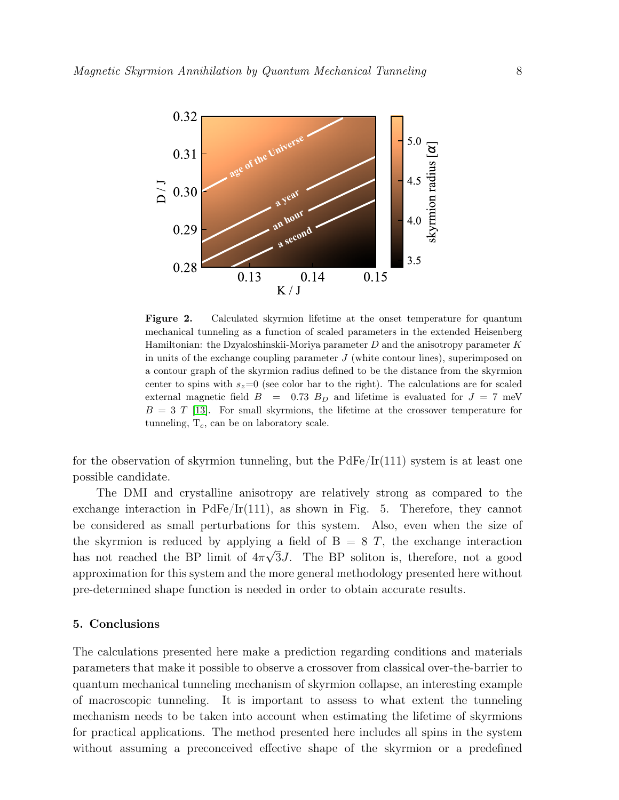

<span id="page-7-0"></span>Figure 2. Calculated skyrmion lifetime at the onset temperature for quantum mechanical tunneling as a function of scaled parameters in the extended Heisenberg Hamiltonian: the Dzyaloshinskii-Moriya parameter  $D$  and the anisotropy parameter  $K$ in units of the exchange coupling parameter  $J$  (white contour lines), superimposed on a contour graph of the skyrmion radius defined to be the distance from the skyrmion center to spins with  $s_z=0$  (see color bar to the right). The calculations are for scaled external magnetic field  $B = 0.73$   $B_D$  and lifetime is evaluated for  $J = 7$  meV  $B = 3$  T [\[13\]](#page-11-12). For small skyrmions, the lifetime at the crossover temperature for tunneling,  $T_c$ , can be on laboratory scale.

for the observation of skyrmion tunneling, but the  $PdFe/Ir(111)$  system is at least one possible candidate.

The DMI and crystalline anisotropy are relatively strong as compared to the exchange interaction in  $PdFe/Ir(111)$ , as shown in Fig. 5. Therefore, they cannot be considered as small perturbations for this system. Also, even when the size of the skyrmion is reduced by applying a field of  $B = 8$  T, the exchange interaction has not reached the BP limit of  $4\pi\sqrt{3}J$ . The BP soliton is, therefore, not a good approximation for this system and the more general methodology presented here without pre-determined shape function is needed in order to obtain accurate results.

#### 5. Conclusions

The calculations presented here make a prediction regarding conditions and materials parameters that make it possible to observe a crossover from classical over-the-barrier to quantum mechanical tunneling mechanism of skyrmion collapse, an interesting example of macroscopic tunneling. It is important to assess to what extent the tunneling mechanism needs to be taken into account when estimating the lifetime of skyrmions for practical applications. The method presented here includes all spins in the system without assuming a preconceived effective shape of the skyrmion or a predefined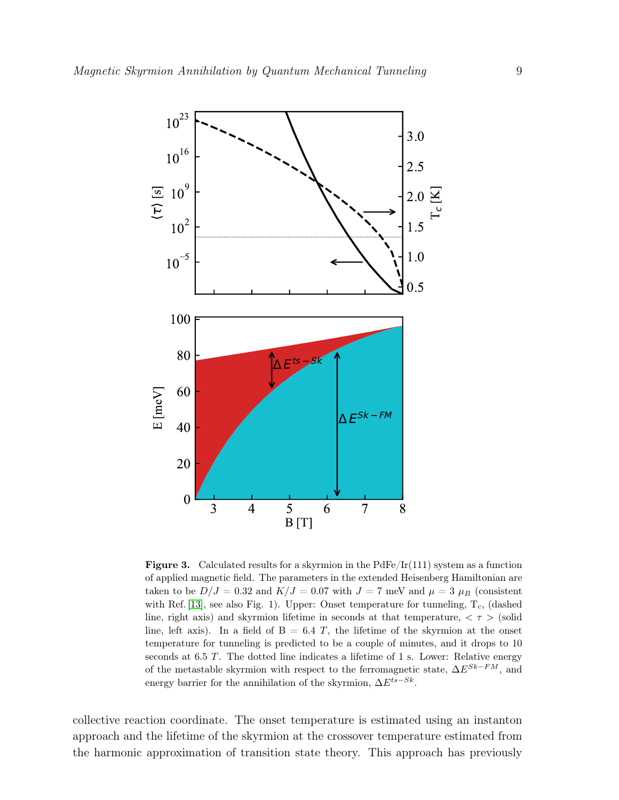

**Figure 3.** Calculated results for a skyrmion in the  $PdFe/Ir(111)$  system as a function of applied magnetic field. The parameters in the extended Heisenberg Hamiltonian are taken to be  $D/J = 0.32$  and  $K/J = 0.07$  with  $J = 7$  meV and  $\mu = 3 \mu_B$  (consistent with Ref. [\[13\]](#page-11-12), see also Fig. 1). Upper: Onset temperature for tunneling,  $T_c$ , (dashed line, right axis) and skyrmion lifetime in seconds at that temperature,  $\langle \tau \rangle$  (solid line, left axis). In a field of  $B = 6.4$  T, the lifetime of the skyrmion at the onset temperature for tunneling is predicted to be a couple of minutes, and it drops to 10 seconds at 6.5 T. The dotted line indicates a lifetime of 1 s. Lower: Relative energy of the metastable skyrmion with respect to the ferromagnetic state,  $\Delta E^{Sk-FM}$ , and energy barrier for the annihilation of the skyrmion,  $\Delta E^{ts-Sk}$ .

collective reaction coordinate. The onset temperature is estimated using an instanton approach and the lifetime of the skyrmion at the crossover temperature estimated from the harmonic approximation of transition state theory. This approach has previously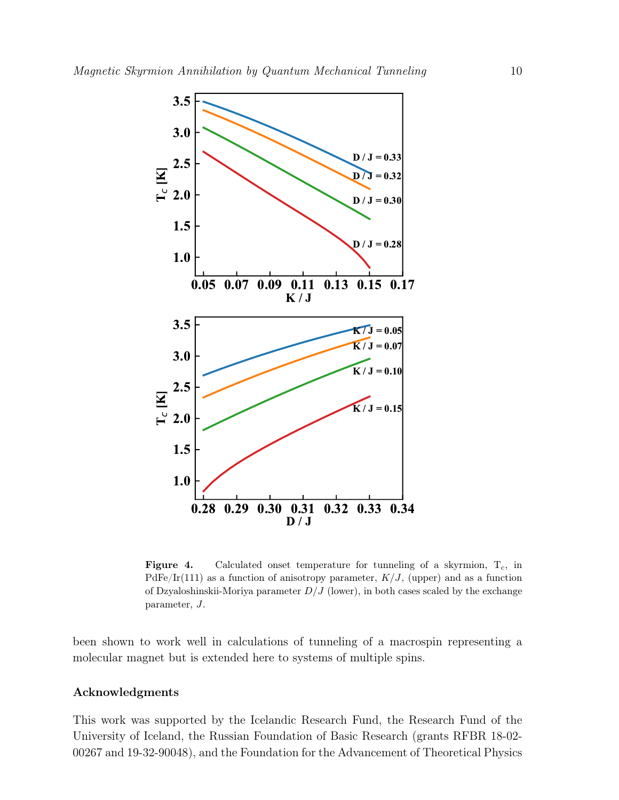

**Figure 4.** Calculated onset temperature for tunneling of a skyrmion,  $T_c$ , in PdFe/Ir(111) as a function of anisotropy parameter,  $K/J$ , (upper) and as a function of Dzyaloshinskii-Moriya parameter  $D/J$  (lower), in both cases scaled by the exchange parameter, J.

been shown to work well in calculations of tunneling of a macrospin representing a molecular magnet but is extended here to systems of multiple spins.

# Acknowledgments

This work was supported by the Icelandic Research Fund, the Research Fund of the University of Iceland, the Russian Foundation of Basic Research (grants RFBR 18-02- 00267 and 19-32-90048), and the Foundation for the Advancement of Theoretical Physics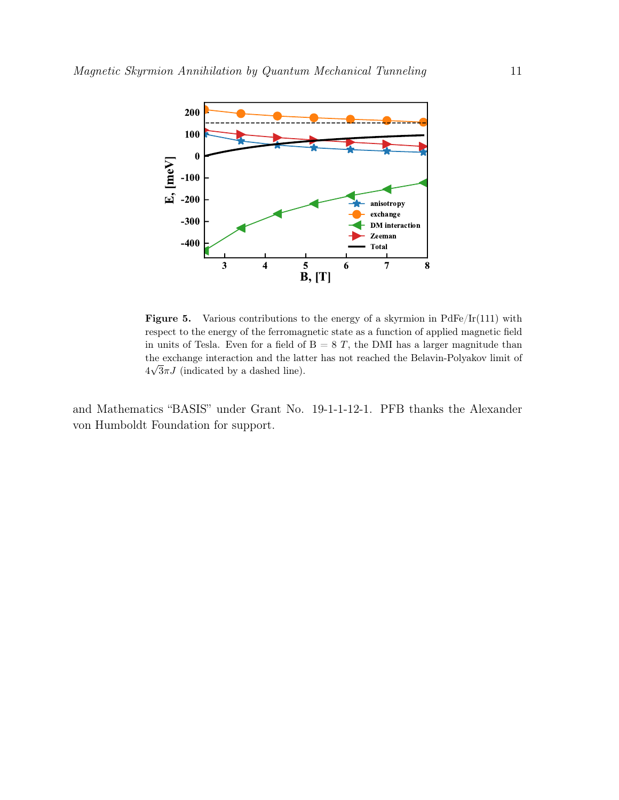

**Figure 5.** Various contributions to the energy of a skyrmion in  $PdFe/Ir(111)$  with respect to the energy of the ferromagnetic state as a function of applied magnetic field in units of Tesla. Even for a field of  $B = 8 T$ , the DMI has a larger magnitude than the exchange interaction and the latter has not reached the Belavin-Polyakov limit of √  $4\sqrt{3}\pi J$  (indicated by a dashed line).

and Mathematics "BASIS" under Grant No. 19-1-1-12-1. PFB thanks the Alexander von Humboldt Foundation for support.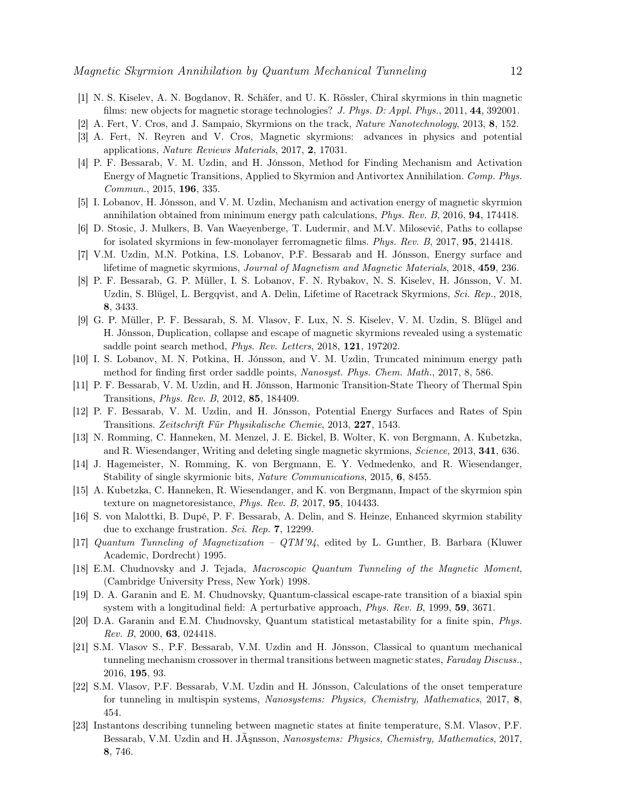- <span id="page-11-0"></span>[1] N. S. Kiselev, A. N. Bogdanov, R. Schäfer, and U. K. Rössler, Chiral skyrmions in thin magnetic films: new objects for magnetic storage technologies? J. Phys. D: Appl. Phys., 2011, 44, 392001.
- <span id="page-11-1"></span>[2] A. Fert, V. Cros, and J. Sampaio, Skyrmions on the track, Nature Nanotechnology, 2013, 8, 152.
- <span id="page-11-2"></span>[3] A. Fert, N. Reyren and V. Cros, Magnetic skyrmions: advances in physics and potential applications, Nature Reviews Materials, 2017, 2, 17031.
- <span id="page-11-3"></span>[4] P. F. Bessarab, V. M. Uzdin, and H. Jónsson, Method for Finding Mechanism and Activation Energy of Magnetic Transitions, Applied to Skyrmion and Antivortex Annihilation. Comp. Phys. Commun., 2015, 196, 335.
- <span id="page-11-4"></span>[5] I. Lobanov, H. Jónsson, and V. M. Uzdin, Mechanism and activation energy of magnetic skyrmion annihilation obtained from minimum energy path calculations, Phys. Rev. B, 2016, 94, 174418.
- <span id="page-11-5"></span>[6] D. Stosic, J. Mulkers, B. Van Waeyenberge, T. Ludermir, and M.V. Milosević, Paths to collapse for isolated skyrmions in few-monolayer ferromagnetic films. Phys. Rev. B, 2017, 95, 214418.
- <span id="page-11-6"></span>[7] V.M. Uzdin, M.N. Potkina, I.S. Lobanov, P.F. Bessarab and H. Jónsson, Energy surface and lifetime of magnetic skyrmions, Journal of Magnetism and Magnetic Materials, 2018, 459, 236.
- <span id="page-11-7"></span>[8] P. F. Bessarab, G. P. Müller, I. S. Lobanov, F. N. Rybakov, N. S. Kiselev, H. Jónsson, V. M. Uzdin, S. Blügel, L. Bergqvist, and A. Delin, Lifetime of Racetrack Skyrmions, Sci. Rep., 2018, 8, 3433.
- <span id="page-11-8"></span>[9] G. P. Müller, P. F. Bessarab, S. M. Vlasov, F. Lux, N. S. Kiselev, V. M. Uzdin, S. Blügel and H. Jónsson, Duplication, collapse and escape of magnetic skyrmions revealed using a systematic saddle point search method, Phys. Rev. Letters, 2018, 121, 197202.
- <span id="page-11-9"></span>[10] I. S. Lobanov, M. N. Potkina, H. Jónsson, and V. M. Uzdin, Truncated minimum energy path method for finding first order saddle points, Nanosyst. Phys. Chem. Math., 2017, 8, 586.
- <span id="page-11-10"></span>[11] P. F. Bessarab, V. M. Uzdin, and H. Jónsson, Harmonic Transition-State Theory of Thermal Spin Transitions, Phys. Rev. B, 2012, 85, 184409.
- <span id="page-11-11"></span>[12] P. F. Bessarab, V. M. Uzdin, and H. Jónsson, Potential Energy Surfaces and Rates of Spin Transitions. Zeitschrift Für Physikalische Chemie, 2013, 227, 1543.
- <span id="page-11-12"></span>[13] N. Romming, C. Hanneken, M. Menzel, J. E. Bickel, B. Wolter, K. von Bergmann, A. Kubetzka, and R. Wiesendanger, Writing and deleting single magnetic skyrmions, *Science*, 2013, **341**, 636.
- <span id="page-11-13"></span>[14] J. Hagemeister, N. Romming, K. von Bergmann, E. Y. Vedmedenko, and R. Wiesendanger, Stability of single skyrmionic bits, Nature Communications, 2015, 6, 8455.
- <span id="page-11-22"></span>[15] A. Kubetzka, C. Hanneken, R. Wiesendanger, and K. von Bergmann, Impact of the skyrmion spin texture on magnetoresistance, Phys. Rev. B, 2017, 95, 104433.
- <span id="page-11-21"></span>[16] S. von Malottki, B. Dupé, P. F. Bessarab, A. Delin, and S. Heinze, Enhanced skyrmion stability due to exchange frustration. Sci. Rep. 7, 12299.
- <span id="page-11-14"></span>[17] Quantum Tunneling of Magnetization – QTM'94, edited by L. Gunther, B. Barbara (Kluwer Academic, Dordrecht) 1995.
- <span id="page-11-15"></span>[18] E.M. Chudnovsky and J. Tejada, Macroscopic Quantum Tunneling of the Magnetic Moment, (Cambridge University Press, New York) 1998.
- <span id="page-11-16"></span>[19] D. A. Garanin and E. M. Chudnovsky, Quantum-classical escape-rate transition of a biaxial spin system with a longitudinal field: A perturbative approach, *Phys. Rev. B*, 1999, 59, 3671.
- <span id="page-11-17"></span>[20] D.A. Garanin and E.M. Chudnovsky, Quantum statistical metastability for a finite spin, Phys. Rev. B, 2000, 63, 024418.
- <span id="page-11-18"></span>[21] S.M. Vlasov S., P.F. Bessarab, V.M. Uzdin and H. Jónsson, Classical to quantum mechanical tunneling mechanism crossover in thermal transitions between magnetic states, Faraday Discuss., 2016, 195, 93.
- <span id="page-11-19"></span>[22] S.M. Vlasov, P.F. Bessarab, V.M. Uzdin and H. Jónsson, Calculations of the onset temperature for tunneling in multispin systems, Nanosystems: Physics, Chemistry, Mathematics, 2017, 8, 454.
- <span id="page-11-20"></span>[23] Instantons describing tunneling between magnetic states at finite temperature, S.M. Vlasov, P.F. Bessarab, V.M. Uzdin and H. JÃşnsson, Nanosystems: Physics, Chemistry, Mathematics, 2017, 8, 746.